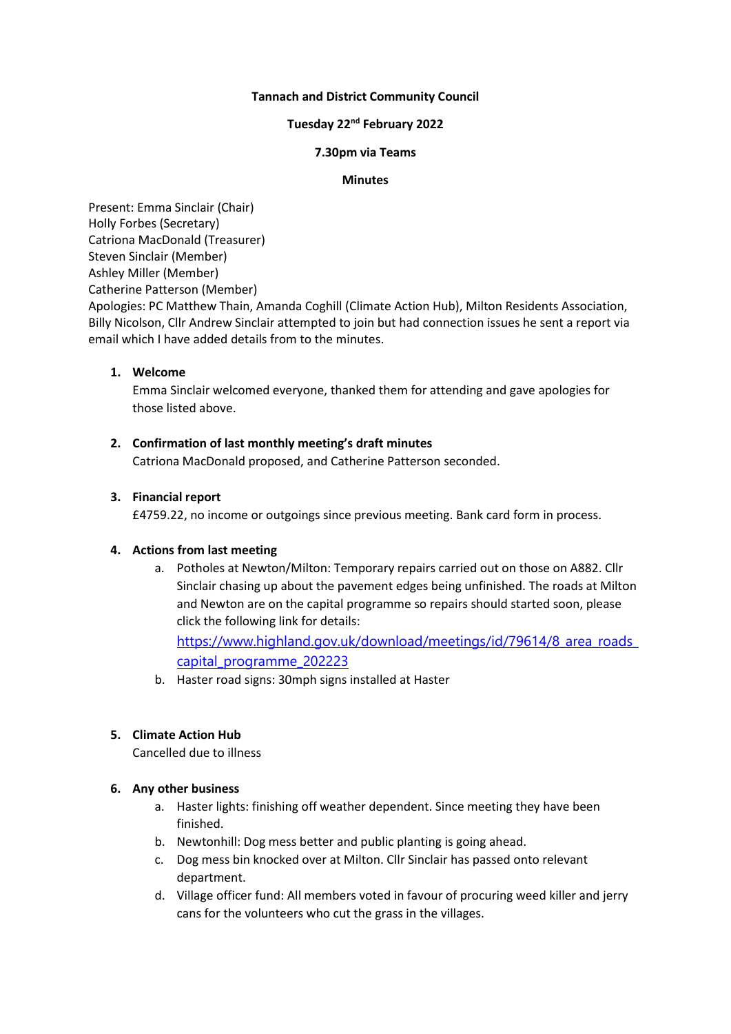### **Tannach and District Community Council**

## **Tuesday 22 nd February 2022**

### **7.30pm via Teams**

### **Minutes**

Present: Emma Sinclair (Chair) Holly Forbes (Secretary) Catriona MacDonald (Treasurer) Steven Sinclair (Member) Ashley Miller (Member) Catherine Patterson (Member)

Apologies: PC Matthew Thain, Amanda Coghill (Climate Action Hub), Milton Residents Association, Billy Nicolson, Cllr Andrew Sinclair attempted to join but had connection issues he sent a report via email which I have added details from to the minutes.

## **1. Welcome**

Emma Sinclair welcomed everyone, thanked them for attending and gave apologies for those listed above.

## **2. Confirmation of last monthly meeting's draft minutes**

Catriona MacDonald proposed, and Catherine Patterson seconded.

## **3. Financial report**

£4759.22, no income or outgoings since previous meeting. Bank card form in process.

# **4. Actions from last meeting**

a. Potholes at Newton/Milton: Temporary repairs carried out on those on A882. Cllr Sinclair chasing up about the pavement edges being unfinished. The roads at Milton and Newton are on the capital programme so repairs should started soon, please click the following link for details:

[https://www.highland.gov.uk/download/meetings/id/79614/8\\_area\\_roads\\_](https://www.highland.gov.uk/download/meetings/id/79614/8_area_roads_capital_programme_202223) [capital\\_programme\\_202223](https://www.highland.gov.uk/download/meetings/id/79614/8_area_roads_capital_programme_202223)

b. Haster road signs: 30mph signs installed at Haster

# **5. Climate Action Hub**

Cancelled due to illness

### **6. Any other business**

- a. Haster lights: finishing off weather dependent. Since meeting they have been finished.
- b. Newtonhill: Dog mess better and public planting is going ahead.
- c. Dog mess bin knocked over at Milton. Cllr Sinclair has passed onto relevant department.
- d. Village officer fund: All members voted in favour of procuring weed killer and jerry cans for the volunteers who cut the grass in the villages.